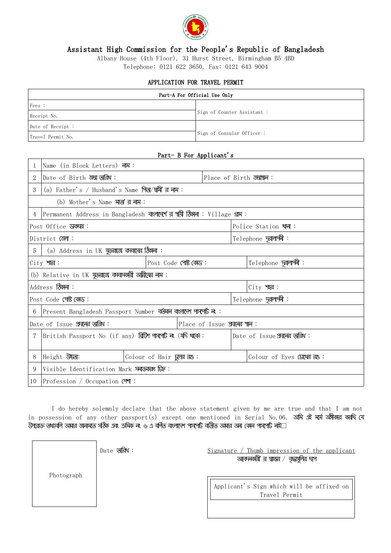

### Assistant High Commission for the People's Republic of Bangladesh

Albany House (4th Floor), 31 Hurst Street, Birmingham B5 4BD

Telephone: 0121 622 3650, Fax: 0121 643 9004

#### APPLICATION FOR TRAVEL PERMIT

| Part-A For Official Use Only |                             |  |  |  |  |
|------------------------------|-----------------------------|--|--|--|--|
| Fees:                        |                             |  |  |  |  |
| Receipt No.                  | Sign of Counter Assistant : |  |  |  |  |
| Date of Receipt :            |                             |  |  |  |  |
| Travel Permit No.            | Sign of Consular Officer:   |  |  |  |  |

#### Part- B For Applicant's

|                                                                    | Name (in Block Letters) <b>नाभ</b> :                             |                                   |  |                                      |                                 |  |  |
|--------------------------------------------------------------------|------------------------------------------------------------------|-----------------------------------|--|--------------------------------------|---------------------------------|--|--|
|                                                                    | Date of Birth उन्ना जन्मि:                                       |                                   |  |                                      | Place of Birth ऊन्नाइल:         |  |  |
| 3                                                                  | (a) Father's / Husband's Name भिष्/श्वभी' त्र नाभ :              |                                   |  |                                      |                                 |  |  |
| (b) Mother's Name <b>মাতা</b> 'র নাম:                              |                                                                  |                                   |  |                                      |                                 |  |  |
|                                                                    | Permanent Address in Bangladesh बालाएस व अभी किमना: Village धाम: |                                   |  |                                      |                                 |  |  |
| Post Office UNTER:                                                 |                                                                  |                                   |  | Police Station थाना:                 |                                 |  |  |
| District (SMT:                                                     |                                                                  |                                   |  | Telephone <b>प्रज्ञालग्ने</b> :      |                                 |  |  |
| (a) Address in UK <del>যু</del> ত্তরাজে কবাদের ঠিকানা:<br>5        |                                                                  |                                   |  |                                      |                                 |  |  |
|                                                                    | Post Code পোষ্ট কোড:<br>$City$ $M$                               |                                   |  | Telephone प्रत्नालाकी:               |                                 |  |  |
| (b) Relative in UK यूज्ज्ञाला कमाभकानी अघ्नीट्मत नाम:              |                                                                  |                                   |  |                                      |                                 |  |  |
| Address <b>किंगला:</b>                                             |                                                                  |                                   |  | $City$ $M$                           |                                 |  |  |
| Post Code পোষ্ট কোড:                                               |                                                                  |                                   |  | Telephone पूत्रालाश्ली:              |                                 |  |  |
| Present Bangladesh Passport Number तब्जान वालाएना भारभाई नः :<br>6 |                                                                  |                                   |  |                                      |                                 |  |  |
| Date of Issue প্ৰদানের অরিথ:<br>Place of Issue आलिंद्र श्रुव :     |                                                                  |                                   |  |                                      |                                 |  |  |
| 7                                                                  | British Passport No (if any) ब्रिजि भारभाँ व (यनि थात):          |                                   |  | Date of Issue <b>প্ৰদৰ্শে অৱিথ</b> : |                                 |  |  |
|                                                                    |                                                                  |                                   |  |                                      |                                 |  |  |
|                                                                    | Height <b>USS</b> :                                              | Colour of Hair <b>प्रूलत तथ</b> : |  |                                      | Colour of Eyes <b>(अश्व त</b> : |  |  |
| 9                                                                  | Visible Identification Mark <b>দনাতবরণ ডি</b> :                  |                                   |  |                                      |                                 |  |  |
| 10                                                                 | Profession / Occupation CPMT:                                    |                                   |  |                                      |                                 |  |  |

I do hereby solemnly declare that the above statement given by me are true and that I am not in possession of any other passport(s) except one mentioned in Serial No.06. অমি এই মৰ্মে অঙ্গীকার কর্ছি যে উপরোক্ত তথ্যাবলি অমার জনামতে সঠিক একং ক্রমিক নং ৬ এ বর্ণিত বাংলাদেশ পাস্পোর্ট বর্তীত অমার অন্য কোন পাস্পোর্ট নাই $\Box$ 

Date **অরিথ**:

Photograph

 $Signature / Thumb impression of the application$ আবদনকানী ন স্বাক্ষন / বৃদ্ধান্তুলিন অপ

> Applicant's Sign which will be affixed on Travel Permit